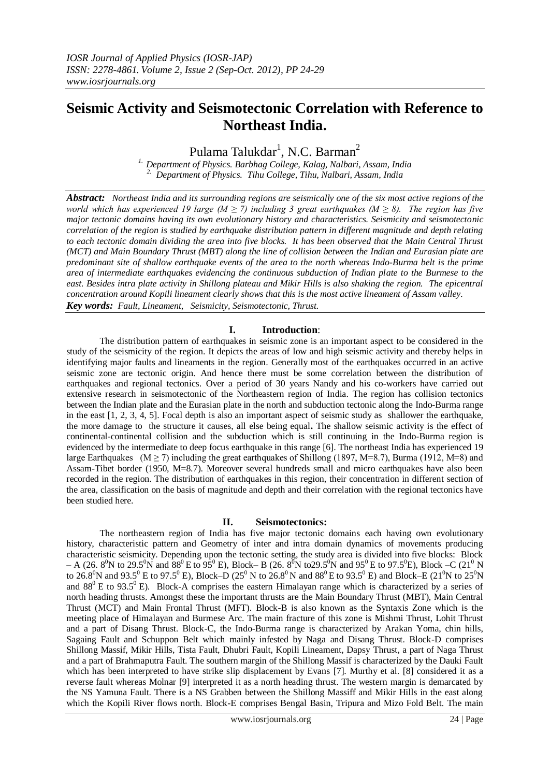# **Seismic Activity and Seismotectonic Correlation with Reference to Northeast India.**

Pulama Talukdar<sup>1</sup>, N.C. Barman<sup>2</sup>

*1. Department of Physics. Barbhag College, Kalag, Nalbari, Assam, India 2. Department of Physics. Tihu College, Tihu, Nalbari, Assam, India*

*Abstract: Northeast India and its surrounding regions are seismically one of the six most active regions of the world which has experienced 19 large (M*  $\geq$  *7) including 3 great earthquakes (M*  $\geq$  *8). The region has five major tectonic domains having its own evolutionary history and characteristics. Seismicity and seismotectonic correlation of the region is studied by earthquake distribution pattern in different magnitude and depth relating to each tectonic domain dividing the area into five blocks. It has been observed that the Main Central Thrust (MCT) and Main Boundary Thrust (MBT) along the line of collision between the Indian and Eurasian plate are predominant site of shallow earthquake events of the area to the north whereas Indo-Burma belt is the prime area of intermediate earthquakes evidencing the continuous subduction of Indian plate to the Burmese to the*  east. Besides intra plate activity in Shillong plateau and Mikir Hills is also shaking the region. The epicentral *concentration around Kopili lineament clearly shows that this is the most active lineament of Assam valley. Key words: Fault, Lineament, Seismicity, Seismotectonic, Thrust.*

#### **I. Introduction**:

The distribution pattern of earthquakes in seismic zone is an important aspect to be considered in the study of the seismicity of the region. It depicts the areas of low and high seismic activity and thereby helps in identifying major faults and lineaments in the region. Generally most of the earthquakes occurred in an active seismic zone are tectonic origin. And hence there must be some correlation between the distribution of earthquakes and regional tectonics. Over a period of 30 years Nandy and his co-workers have carried out extensive research in seismotectonic of the Northeastern region of India. The region has collision tectonics between the Indian plate and the Eurasian plate in the north and subduction tectonic along the Indo-Burma range in the east [1, 2, 3, 4, 5]. Focal depth is also an important aspect of seismic study as shallower the earthquake, the more damage to the structure it causes, all else being equal**.** The shallow seismic activity is the effect of continental-continental collision and the subduction which is still continuing in the Indo-Burma region is evidenced by the intermediate to deep focus earthquake in this range [6]. The northeast India has experienced 19 large Earthquakes (M  $\geq$  7) including the great earthquakes of Shillong (1897, M=8.7), Burma (1912, M=8) and Assam-Tibet border (1950, M=8.7). Moreover several hundreds small and micro earthquakes have also been recorded in the region. The distribution of earthquakes in this region, their concentration in different section of the area, classification on the basis of magnitude and depth and their correlation with the regional tectonics have been studied here.

#### **II. Seismotectonics:**

The northeastern region of India has five major tectonic domains each having own evolutionary history, characteristic pattern and Geometry of inter and intra domain dynamics of movements producing characteristic seismicity. Depending upon the tectonic setting, the study area is divided into five blocks: Block  $-$  A (26. 8<sup>0</sup>N to 29.5<sup>0</sup>N and 88<sup>0</sup> E to 95<sup>0</sup> E), Block– B (26. 8<sup>0</sup>N to 29.5<sup>0</sup>N and 95<sup>0</sup> E to 97.5<sup>0</sup>E), Block –C (21<sup>0</sup> N to 26.8<sup>0</sup>N and 93.5<sup>0</sup> E to 97.5<sup>0</sup> E), Block–D (25<sup>0</sup> N to 26.8<sup>0</sup>N and 88<sup>0</sup>E to 93.5<sup>0</sup> E) and Block–E (21<sup>0</sup>N to 25<sup>0</sup>N and  $88^{\circ}$  E to 93.5<sup>o</sup> E). Block-A comprises the eastern Himalayan range which is characterized by a series of north heading thrusts. Amongst these the important thrusts are the Main Boundary Thrust (MBT), Main Central Thrust (MCT) and Main Frontal Thrust (MFT). Block-B is also known as the Syntaxis Zone which is the meeting place of Himalayan and Burmese Arc. The main fracture of this zone is Mishmi Thrust, Lohit Thrust and a part of Disang Thrust. Block-C, the Indo-Burma range is characterized by Arakan Yoma, chin hills, Sagaing Fault and Schuppon Belt which mainly infested by Naga and Disang Thrust. Block-D comprises Shillong Massif, Mikir Hills, Tista Fault, Dhubri Fault, Kopili Lineament, Dapsy Thrust, a part of Naga Thrust and a part of Brahmaputra Fault. The southern margin of the Shillong Massif is characterized by the Dauki Fault which has been interpreted to have strike slip displacement by Evans [7]. Murthy et al. [8] considered it as a reverse fault whereas Molnar [9] interpreted it as a north heading thrust. The western margin is demarcated by the NS Yamuna Fault. There is a NS Grabben between the Shillong Massiff and Mikir Hills in the east along which the Kopili River flows north. Block-E comprises Bengal Basin, Tripura and Mizo Fold Belt. The main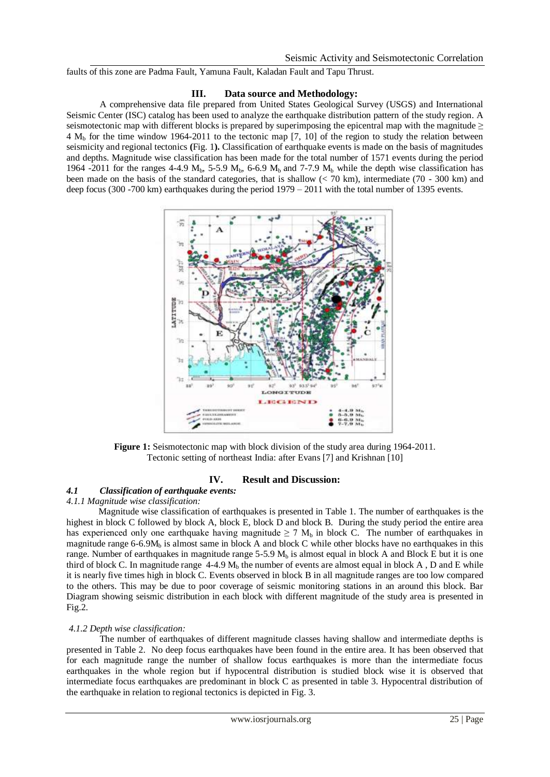faults of this zone are Padma Fault, Yamuna Fault, Kaladan Fault and Tapu Thrust.

#### **III. Data source and Methodology:**

A comprehensive data file prepared from United States Geological Survey (USGS) and International Seismic Center (ISC) catalog has been used to analyze the earthquake distribution pattern of the study region. A seismotectonic map with different blocks is prepared by superimposing the epicentral map with the magnitude  $\geq$  $4 M_b$  for the time window 1964-2011 to the tectonic map [7, 10] of the region to study the relation between seismicity and regional tectonics **(**Fig. 1**).** Classification of earthquake events is made on the basis of magnitudes and depths. Magnitude wise classification has been made for the total number of 1571 events during the period 1964 -2011 for the ranges 4-4.9  $M_h$ , 5-5.9  $M_h$ , 6-6.9  $M_h$  and 7-7.9  $M_h$  while the depth wise classification has been made on the basis of the standard categories, that is shallow  $(< 70 \text{ km})$ , intermediate  $(70 - 300 \text{ km})$  and deep focus (300 -700 km) earthquakes during the period 1979 – 2011 with the total number of 1395 events.



**Figure 1:** Seismotectonic map with block division of the study area during 1964-2011. Tectonic setting of northeast India: after Evans [7] and Krishnan [10]

### **IV. Result and Discussion:**

## *4.1 Classification of earthquake events:*

#### *4.1.1 Magnitude wise classification:*

 Magnitude wise classification of earthquakes is presented in Table 1. The number of earthquakes is the highest in block C followed by block A, block E, block D and block B. During the study period the entire area has experienced only one earthquake having magnitude  $\geq 7$  M<sub>b</sub> in block C. The number of earthquakes in magnitude range  $6-6.9M<sub>b</sub>$  is almost same in block A and block C while other blocks have no earthquakes in this range. Number of earthquakes in magnitude range 5-5.9  $M<sub>b</sub>$  is almost equal in block A and Block E but it is one third of block C. In magnitude range  $4-4.9$  M<sub>b</sub> the number of events are almost equal in block A, D and E while it is nearly five times high in block C. Events observed in block B in all magnitude ranges are too low compared to the others. This may be due to poor coverage of seismic monitoring stations in an around this block. Bar Diagram showing seismic distribution in each block with different magnitude of the study area is presented in Fig.2.

#### *4.1.2 Depth wise classification:*

The number of earthquakes of different magnitude classes having shallow and intermediate depths is presented in Table 2. No deep focus earthquakes have been found in the entire area. It has been observed that for each magnitude range the number of shallow focus earthquakes is more than the intermediate focus earthquakes in the whole region but if hypocentral distribution is studied block wise it is observed that intermediate focus earthquakes are predominant in block C as presented in table 3. Hypocentral distribution of the earthquake in relation to regional tectonics is depicted in Fig. 3.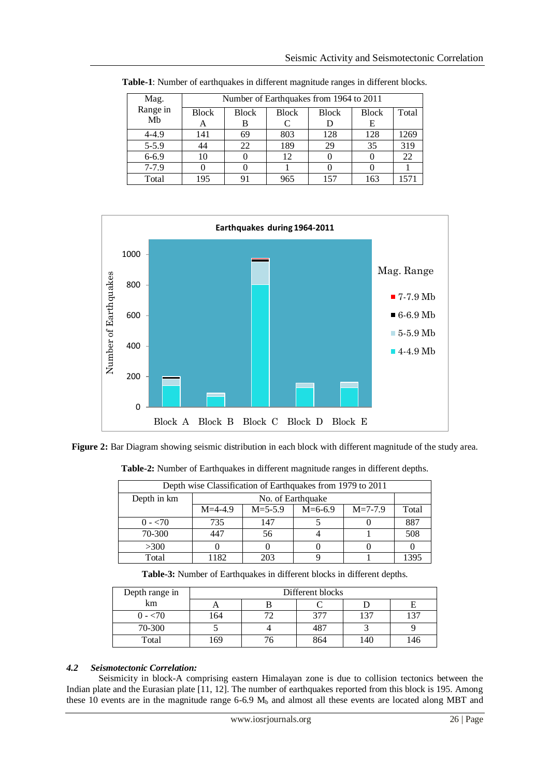| Mag.           | Number of Earthquakes from 1964 to 2011 |              |              |              |              |       |  |
|----------------|-----------------------------------------|--------------|--------------|--------------|--------------|-------|--|
| Range in<br>Mb | <b>Block</b>                            | <b>Block</b> | <b>Block</b> | <b>Block</b> | <b>Block</b> | Total |  |
|                | А                                       | В            |              |              | E            |       |  |
| $4 - 4.9$      | 141                                     | 69           | 803          | 128          | 128          | 1269  |  |
| $5 - 5.9$      |                                         | 22           | 189          | 29           | 35           | 319   |  |
| $6 - 6.9$      | 10                                      |              | 12           |              |              | 22    |  |
| $7-7.9$        |                                         |              |              |              |              |       |  |
| Total          | 195                                     | 91           | 965          | 157          | 163          | 1571  |  |

**Table-1**: Number of earthquakes in different magnitude ranges in different blocks.



**Figure 2:** Bar Diagram showing seismic distribution in each block with different magnitude of the study area.

| Depth wise Classification of Earthquakes from 1979 to 2011 |                   |               |           |               |       |  |  |
|------------------------------------------------------------|-------------------|---------------|-----------|---------------|-------|--|--|
| Depth in km                                                | No. of Earthquake |               |           |               |       |  |  |
|                                                            | $M=4-4.9$         | $M = 5 - 5.9$ | $M=6-6.9$ | $M = 7 - 7.9$ | Total |  |  |
| $0 - 70$                                                   | 735               | 147           |           |               | 887   |  |  |
| 70-300                                                     | 447               | 56            |           |               | 508   |  |  |
| >300                                                       |                   |               |           |               |       |  |  |
| Total                                                      | 1182              | 203           |           |               | 1395  |  |  |

**Table-2:** Number of Earthquakes in different magnitude ranges in different depths.

**Table-3:** Number of Earthquakes in different blocks in different depths.

| Depth range in | Different blocks |  |     |     |        |  |
|----------------|------------------|--|-----|-----|--------|--|
| km             |                  |  |     |     |        |  |
| 0 - <70        | 164              |  | 377 | 137 | $\sim$ |  |
| 70-300         |                  |  | 487 |     |        |  |
| Total          | 169              |  | 864 | 140 | 46     |  |

## *4.2**Seismotectonic Correlation:*

 Seismicity in block-A comprising eastern Himalayan zone is due to collision tectonics between the Indian plate and the Eurasian plate [11, 12]. The number of earthquakes reported from this block is 195. Among these 10 events are in the magnitude range  $6-6.9$  M<sub>b</sub> and almost all these events are located along MBT and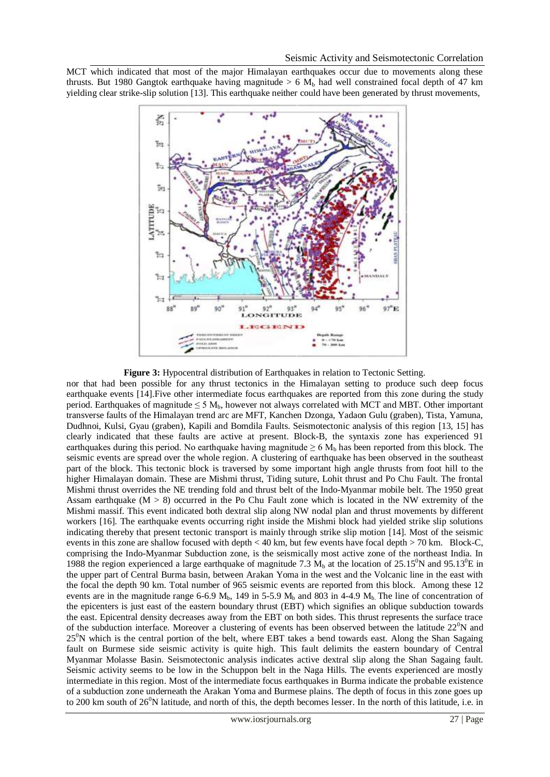MCT which indicated that most of the major Himalayan earthquakes occur due to movements along these thrusts. But 1980 Gangtok earthquake having magnitude > 6  $M<sub>b</sub>$  had well constrained focal depth of 47 km yielding clear strike-slip solution [13]. This earthquake neither could have been generated by thrust movements,



**Figure 3:** Hypocentral distribution of Earthquakes in relation to Tectonic Setting.

nor that had been possible for any thrust tectonics in the Himalayan setting to produce such deep focus earthquake events [14].Five other intermediate focus earthquakes are reported from this zone during the study period. Earthquakes of magnitude  $\leq 5$  M<sub>b</sub>, however not always correlated with MCT and MBT. Other important transverse faults of the Himalayan trend arc are MFT, Kanchen Dzonga, Yadaon Gulu (graben), Tista, Yamuna, Dudhnoi, Kulsi, Gyau (graben), Kapili and Bomdila Faults. Seismotectonic analysis of this region [13, 15] has clearly indicated that these faults are active at present. Block-B, the syntaxis zone has experienced 91 earthquakes during this period. No earthquake having magnitude  $\geq 6$  M<sub>b</sub> has been reported from this block. The seismic events are spread over the whole region. A clustering of earthquake has been observed in the southeast part of the block. This tectonic block is traversed by some important high angle thrusts from foot hill to the higher Himalayan domain. These are Mishmi thrust, Tiding suture, Lohit thrust and Po Chu Fault. The frontal Mishmi thrust overrides the NE trending fold and thrust belt of the Indo-Myanmar mobile belt. The 1950 great Assam earthquake (M > 8) occurred in the Po Chu Fault zone which is located in the NW extremity of the Mishmi massif. This event indicated both dextral slip along NW nodal plan and thrust movements by different workers [16]. The earthquake events occurring right inside the Mishmi block had yielded strike slip solutions indicating thereby that present tectonic transport is mainly through strike slip motion [14]. Most of the seismic events in this zone are shallow focused with depth < 40 km, but few events have focal depth > 70 km. Block-C, comprising the Indo-Myanmar Subduction zone, is the seismically most active zone of the northeast India. In 1988 the region experienced a large earthquake of magnitude 7.3 M<sub>b</sub> at the location of 25.15<sup>o</sup>N and 95.13<sup>o</sup>E in the upper part of Central Burma basin, between Arakan Yoma in the west and the Volcanic line in the east with the focal the depth 90 km. Total number of 965 seismic events are reported from this block. Among these 12 events are in the magnitude range 6-6.9  $M_b$ , 149 in 5-5.9  $M_b$  and 803 in 4-4.9  $M_b$ . The line of concentration of the epicenters is just east of the eastern boundary thrust (EBT) which signifies an oblique subduction towards the east. Epicentral density decreases away from the EBT on both sides. This thrust represents the surface trace of the subduction interface. Moreover a clustering of events has been observed between the latitude  $22^0$ N and 25<sup>0</sup>N which is the central portion of the belt, where EBT takes a bend towards east. Along the Shan Sagaing fault on Burmese side seismic activity is quite high. This fault delimits the eastern boundary of Central Myanmar Molasse Basin. Seismotectonic analysis indicates active dextral slip along the Shan Sagaing fault. Seismic activity seems to be low in the Schuppon belt in the Naga Hills. The events experienced are mostly intermediate in this region. Most of the intermediate focus earthquakes in Burma indicate the probable existence of a subduction zone underneath the Arakan Yoma and Burmese plains. The depth of focus in this zone goes up to 200 km south of  $26^{\circ}$ N latitude, and north of this, the depth becomes lesser. In the north of this latitude, i.e. in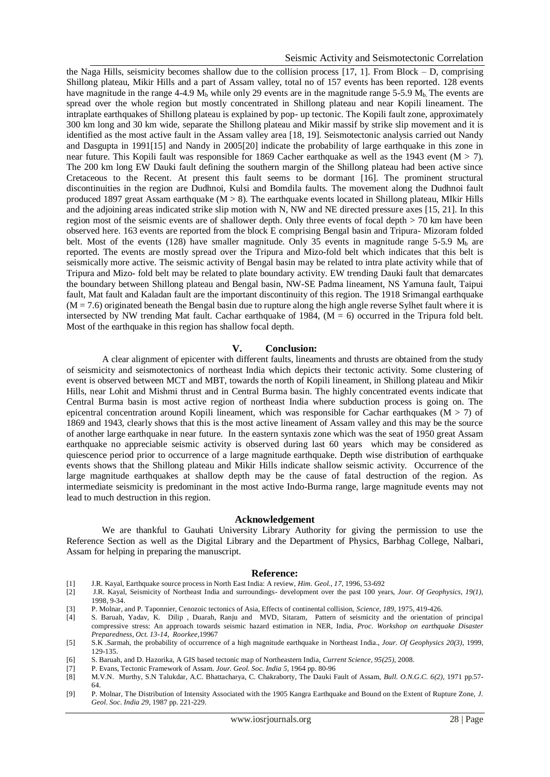#### Seismic Activity and Seismotectonic Correlation

the Naga Hills, seismicity becomes shallow due to the collision process [17, 1]. From Block – D, comprising Shillong plateau, Mikir Hills and a part of Assam valley, total no of 157 events has been reported. 128 events have magnitude in the range 4-4.9  $M_b$  while only 29 events are in the magnitude range 5-5.9  $M_b$ . The events are spread over the whole region but mostly concentrated in Shillong plateau and near Kopili lineament. The intraplate earthquakes of Shillong plateau is explained by pop- up tectonic. The Kopili fault zone, approximately 300 km long and 30 km wide, separate the Shillong plateau and Mikir massif by strike slip movement and it is identified as the most active fault in the Assam valley area [18, 19]. Seismotectonic analysis carried out Nandy and Dasgupta in 1991[15] and Nandy in 2005[20] indicate the probability of large earthquake in this zone in near future. This Kopili fault was responsible for 1869 Cacher earthquake as well as the 1943 event (M > 7). The 200 km long EW Dauki fault defining the southern margin of the Shillong plateau had been active since Cretaceous to the Recent. At present this fault seems to be dormant [16]. The prominent structural discontinuities in the region are Dudhnoi, Kulsi and Bomdila faults. The movement along the Dudhnoi fault produced 1897 great Assam earthquake (M  $> 8$ ). The earthquake events located in Shillong plateau, MIkir Hills and the adjoining areas indicated strike slip motion with N, NW and NE directed pressure axes [15, 21]. In this region most of the seismic events are of shallower depth. Only three events of focal depth > 70 km have been observed here. 163 events are reported from the block E comprising Bengal basin and Tripura- Mizoram folded belt. Most of the events (128) have smaller magnitude. Only 35 events in magnitude range 5-5.9  $M_h$  are reported. The events are mostly spread over the Tripura and Mizo-fold belt which indicates that this belt is seismically more active. The seismic activity of Bengal basin may be related to intra plate activity while that of Tripura and Mizo- fold belt may be related to plate boundary activity. EW trending Dauki fault that demarcates the boundary between Shillong plateau and Bengal basin, NW-SE Padma lineament, NS Yamuna fault, Taipui fault, Mat fault and Kaladan fault are the important discontinuity of this region. The 1918 Srimangal earthquake  $(M = 7.6)$  originated beneath the Bengal basin due to rupture along the high angle reverse Sylhet fault where it is intersected by NW trending Mat fault. Cachar earthquake of 1984,  $(M = 6)$  occurred in the Tripura fold belt. Most of the earthquake in this region has shallow focal depth.

#### **V. Conclusion:**

A clear alignment of epicenter with different faults, lineaments and thrusts are obtained from the study of seismicity and seismotectonics of northeast India which depicts their tectonic activity. Some clustering of event is observed between MCT and MBT, towards the north of Kopili lineament, in Shillong plateau and Mikir Hills, near Lohit and Mishmi thrust and in Central Burma basin. The highly concentrated events indicate that Central Burma basin is most active region of northeast India where subduction process is going on. The epicentral concentration around Kopili lineament, which was responsible for Cachar earthquakes ( $M > 7$ ) of 1869 and 1943, clearly shows that this is the most active lineament of Assam valley and this may be the source of another large earthquake in near future. In the eastern syntaxis zone which was the seat of 1950 great Assam earthquake no appreciable seismic activity is observed during last 60 years which may be considered as quiescence period prior to occurrence of a large magnitude earthquake. Depth wise distribution of earthquake events shows that the Shillong plateau and Mikir Hills indicate shallow seismic activity. Occurrence of the large magnitude earthquakes at shallow depth may be the cause of fatal destruction of the region. As intermediate seismicity is predominant in the most active Indo-Burma range, large magnitude events may not lead to much destruction in this region.

#### **Acknowledgement**

 We are thankful to Gauhati University Library Authority for giving the permission to use the Reference Section as well as the Digital Library and the Department of Physics, Barbhag College, Nalbari, Assam for helping in preparing the manuscript.

#### **Reference:**

- [1] J.R. Kayal, Earthquake source process in North East India: A review, *Him. Geol., 17*, 1996, 53-692
- [2] J.R. Kayal, Seismicity of Northeast India and surroundings- development over the past 100 years, *Jour. Of Geophysics, 19(1),* 1998, 9-34.
- [3] P. Molnar, and P. Taponnier, Cenozoic tectonics of Asia, Effects of continental collision, *Science, 189*, 1975, 419-426.
- [4] S. Baruah, Yadav, K. Dilip , Duarah, Ranju and MVD, Sitaram, Pattern of seismicity and the orientation of principal compressive stress: An approach towards seismic hazard estimation in NER, India, *Proc. Workshop on earthquake Disaster Preparedness, Oct. 13-14, Roorkee,*19967
- [5] S.K .Sarmah, the probability of occurrence of a high magnitude earthquake in Northeast India., *Jour. Of Geophysics 20(3),* 1999, 129-135.
- [6] S. Baruah, and D. Hazorika, A GIS based tectonic map of Northeastern India, *Current Science, 95(25),* 2008.
- [7] P. Evans, Tectonic Framework of Assam. *Jour. Geol. Soc. India 5,* 1964 pp. 80-96
- [8] M.V.N. Murthy, S.N Talukdar, A.C. Bhattacharya, C. Chakraborty, The Dauki Fault of Assam, *Bull. O.N.G.C. 6(2),* 1971 pp.57- 64.
- [9] P. Molnar, The Distribution of Intensity Associated with the 1905 Kangra Earthquake and Bound on the Extent of Rupture Zone, *J. Geol*. *Soc. India 29*, 1987 pp. 221-229.